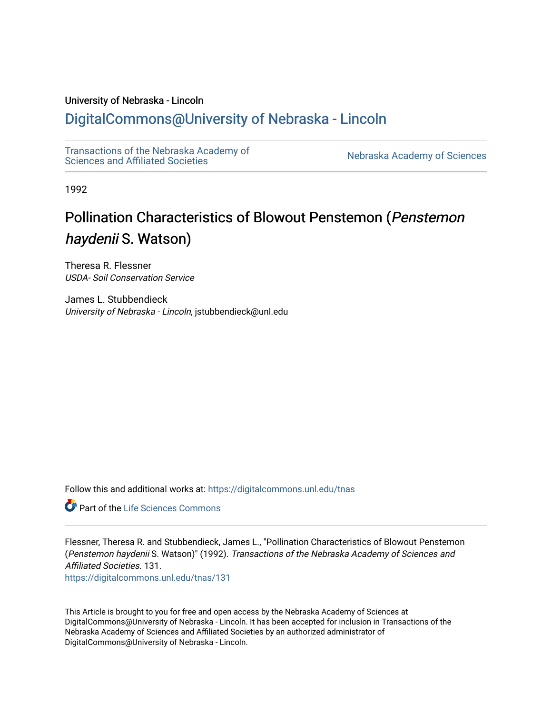# University of Nebraska - Lincoln

# [DigitalCommons@University of Nebraska - Lincoln](https://digitalcommons.unl.edu/)

[Transactions of the Nebraska Academy of](https://digitalcommons.unl.edu/tnas)  Transactions of the Nebraska Academy of Sciences<br>Sciences and Affiliated Societies

1992

# Pollination Characteristics of Blowout Penstemon (Penstemon haydenii S. Watson)

Theresa R. Flessner USDA- Soil Conservation Service

James L. Stubbendieck University of Nebraska - Lincoln, jstubbendieck@unl.edu

Follow this and additional works at: [https://digitalcommons.unl.edu/tnas](https://digitalcommons.unl.edu/tnas?utm_source=digitalcommons.unl.edu%2Ftnas%2F131&utm_medium=PDF&utm_campaign=PDFCoverPages) 

**C** Part of the Life Sciences Commons

Flessner, Theresa R. and Stubbendieck, James L., "Pollination Characteristics of Blowout Penstemon (Penstemon haydenii S. Watson)" (1992). Transactions of the Nebraska Academy of Sciences and Affiliated Societies. 131. [https://digitalcommons.unl.edu/tnas/131](https://digitalcommons.unl.edu/tnas/131?utm_source=digitalcommons.unl.edu%2Ftnas%2F131&utm_medium=PDF&utm_campaign=PDFCoverPages) 

This Article is brought to you for free and open access by the Nebraska Academy of Sciences at DigitalCommons@University of Nebraska - Lincoln. It has been accepted for inclusion in Transactions of the Nebraska Academy of Sciences and Affiliated Societies by an authorized administrator of DigitalCommons@University of Nebraska - Lincoln.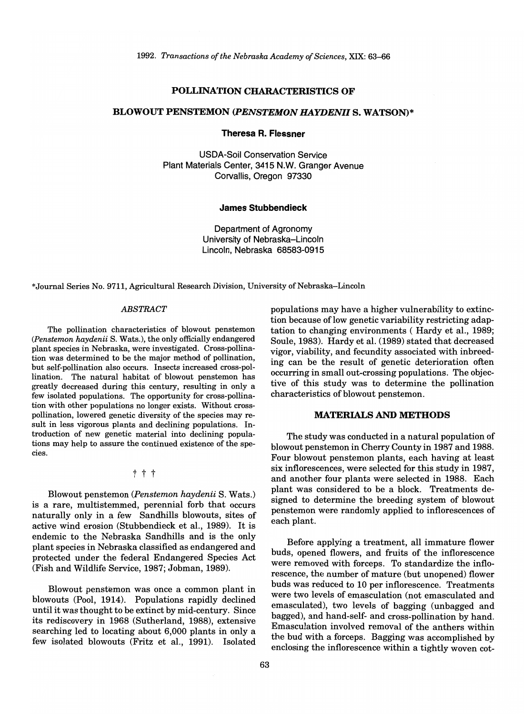#### POLLINATION CHARACTERISTICS OF

#### BLOWOUT PENSTEMON *(PENSTEMON HAYDENII* S. WATSON)\*

Theresa R. Flessner

USDA-Soil Conservation Service Plant Materials Center, 3415 N.W. Granger Avenue Corvallis, Oregon 97330

#### James Stubbendieck

Department of Agronomy University of Nebraska-Lincoln Lincoln, Nebraska 68583-0915

\*Joumal Series No. 9711, Agricultural Research Division, University of Nebraska-Lincoln

## *ABSTRACT*

The pollination characteristics of blowout penstemon *(Penstemon haydenii* S. Wats.), the only officially endangered plant species in Nebraska, were investigated. Cross-pollination was determined to be the major method of pollination, but self-pollination also occurs. Insects increased cross-pollination. The natural habitat of blowout penstemon has greatly decreased during this century, resulting in only a few isolated populations. The opportunity for cross-pollination with other populations no longer exists. Without crosspollination, lowered genetic diversity of the species may result in less vigorous plants and declining populations. Introduction of new genetic material into declining populations may help to assure the continued existence of the species.

t t t

Blowout penstemon *(Penstemon haydenii* S. Wats.) is a rare, multistemmed, perennial forb that occurs naturally only in a few Sandhills blowouts, sites of active wind erosion (Stubbendieck et aI., 1989). It is endemic to the Nebraska Sandhills and is the only plant species in Nebraska classified as endangered and protected under the federal Endangered Species Act (Fish and Wildlife Service, 1987; Jobman, 1989).

Blowout penstemon was once a common plant in blowouts (Pool, 1914). Populations rapidly declined until it was thought to be extinct by mid-century. Since its rediscovery in 1968 (Sutherland, 1988), extensive searching led to locating about 6,000 plants in only a few isolated blowouts (Fritz et aI., 1991). Isolated populations may have a higher vulnerability to extinction because of low genetic variability restricting adaptation to changing environments ( Hardy et aI., 1989; Soule, 1983). Hardy et al. (1989) stated that decreased vigor, viability, and fecundity associated with inbreeding can be the result of genetic deterioration often occurring in small out-crossing populations. The objective of this study was to determine the pollination characteristics of blowout penstemon.

#### MATERIALS AND METHODS

The study was conducted in a natural population of blowout penstemon in Cherry County in 1987 and 1988. Four blowout penstemon plants, each having at least six inflorescences, were selected for this study in 1987, and another four plants were selected in 1988. Each plant was considered to be a block. Treatments designed to determine the breeding system of blowout penstemon were randomly applied to inflorescences of each plant.

Before applying a treatment, all immature flower buds, opened flowers, and fruits of the inflorescence were removed with forceps. To standardize the inflorescence, the number of mature (but unopened) flower buds was reduced to 10 per inflorescence. Treatments were two levels of emasculation (not emasculated and emasculated), two levels of bagging (unbagged and bagged), and hand-self- and cross-pollination by hand. Emasculation involved removal of the anthers within the bud with a forceps. Bagging was accomplished by enclosing the inflorescence within a tightly woven cot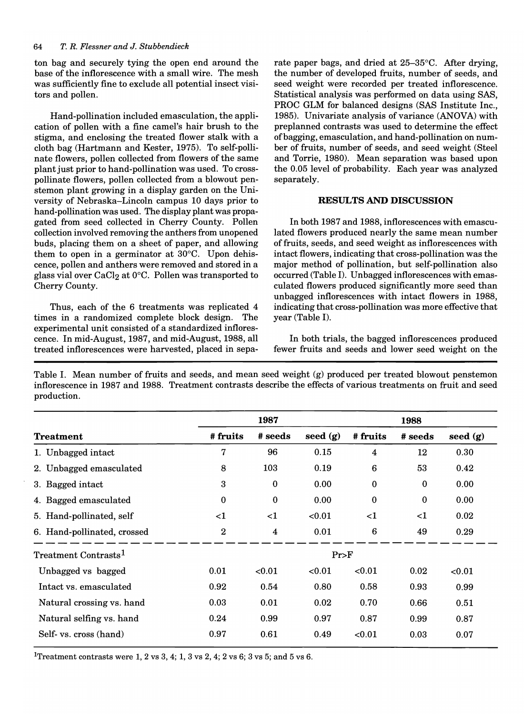ton bag and securely tying the open end around the base of the inflorescence with a small wire. The mesh was sufficiently fine to exclude all potential insect visitors and pollen.

Hand-pollination included emasculation, the application of pollen with a fine camel's hair brush to the stigma, and enclosing the treated flower stalk with a cloth bag (Hartmann and Kester, 1975). To self-pollinate flowers, pollen collected from flowers of the same plant just prior to hand-pollination was used. To crosspollinate flowers, pollen collected from a blowout penstemon plant growing in a display garden on the University of Nebraska-Lincoln campus 10 days prior to hand-pollination was used. The display plant was propagated from seed collected in Cherry County. Pollen collection involved removing the anthers from unopened buds, placing them on a sheet of paper, and allowing them to open in a germinator at 30°C. Upon dehiscence, pollen and anthers were removed and stored in a glass vial over  $CaCl<sub>2</sub>$  at 0°C. Pollen was transported to Cherry County.

Thus, each of the 6 treatments was replicated 4 times in a randomized complete block design. The experimental unit consisted of a standardized inflorescence. In mid-August, 1987, and mid-August, 1988, all treated inflorescences were harvested, placed in separate paper bags, and dried at 25-35°C. After drying, the number of developed fruits, number of seeds, and seed weight were recorded per treated inflorescence. Statistical analysis was performed on data using SAS, PROC GLM for balanced designs (SAS Institute Inc., 1985). Univariate analysis of variance (ANOVA) with preplanned contrasts was used to determine the effect of bagging, emasculation, and hand-pollination on number of fruits, number of seeds, and seed weight (Steel and Torrie, 1980). Mean separation was based upon the 0.05 level of probability. Each year was analyzed separately.

# RESULTS AND DISCUSSION

In both 1987 and 1988, inflorescences with emasculated flowers produced nearly the same mean number of fruits, seeds, and seed weight as inflorescences with intact flowers, indicating that cross-pollination was the major method of pollination, but self-pollination also occurred (Table I). Unbagged inflorescences with emasculated flowers produced significantly more seed than unbagged inflorescences with intact flowers in 1988, indicating that cross-pollination was more effective that year (Table I).

In both trials, the bagged inflorescences produced fewer fruits and seeds and lower seed weight on the

Table I. Mean number of fruits and seeds, and mean seed weight (g) produced per treated blowout penstemon inflorescence in 1987 and 1988. Treatment contrasts describe the effects of various treatments on fruit and seed production.

|                                  | 1987        |                         |            | 1988                |              |            |
|----------------------------------|-------------|-------------------------|------------|---------------------|--------------|------------|
| <b>Treatment</b>                 | # fruits    | # seeds                 | seed $(g)$ | # fruits            | # seeds      | seed $(g)$ |
| 1. Unbagged intact               | 7           | 96                      | 0.15       | $\overline{\bf{4}}$ | 12           | 0.30       |
| 2. Unbagged emasculated          | 8           | 103                     | 0.19       | 6                   | 53           | 0.42       |
| 3. Bagged intact                 | 3           | $\bf{0}$                | 0.00       | $\mathbf{0}$        | $\bf{0}$     | 0.00       |
| 4. Bagged emasculated            | $\mathbf 0$ | $\Omega$                | 0.00       | $\theta$            | $\mathbf{0}$ | 0.00       |
| 5. Hand-pollinated, self         | ${<}1$      | $<$ 1                   | < 0.01     | $\leq$ 1            | ${<}1$       | 0.02       |
| 6. Hand-pollinated, crossed      | $\bf{2}$    | $\overline{\mathbf{4}}$ | 0.01       | $6\phantom{1}6$     | 49           | 0.29       |
| Treatment Contrasts <sup>1</sup> | Pr>F        |                         |            |                     |              |            |
| Unbagged vs bagged               | 0.01        | < 0.01                  | < 0.01     | < 0.01              | 0.02         | < 0.01     |
| Intact vs. emasculated           | 0.92        | 0.54                    | 0.80       | 0.58                | 0.93         | 0.99       |
| Natural crossing vs. hand        | 0.03        | 0.01                    | 0.02       | 0.70                | 0.66         | 0.51       |
| Natural selfing vs. hand         | 0.24        | 0.99                    | 0.97       | 0.87                | 0.99         | 0.87       |
| Self- vs. cross (hand)           | 0.97        | 0.61                    | 0.49       | < 0.01              | 0.03         | 0.07       |
|                                  |             |                         |            |                     |              |            |

<sup>1</sup>Treatment contrasts were 1, 2 vs 3, 4; 1, 3 vs 2, 4; 2 vs 6; 3 vs 5; and 5 vs 6.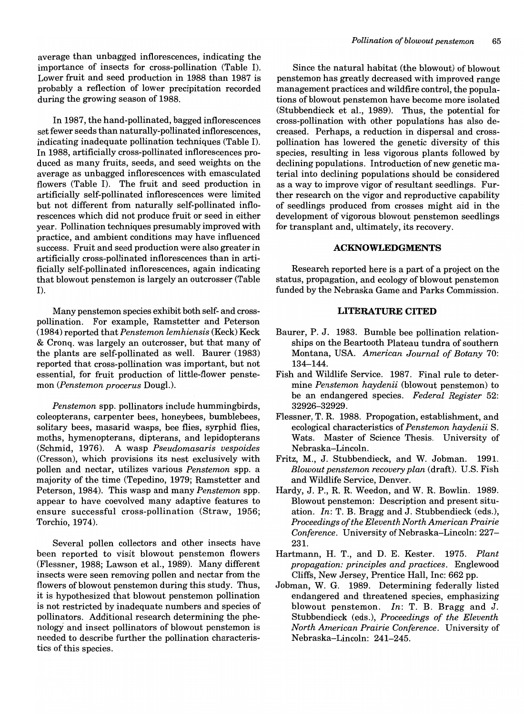average than unbagged inflorescences, indicating the importance of insects for cross-pollination (Table I). Lower fruit and seed production in 1988 than 1987 is probably a reflection of lower precipitation recorded during the growing season of 1988.

In 1987, the hand-pollinated, bagged inflorescences set fewer seeds than naturally-pollinated inflorescences, indicating inadequate pollination techniques (Table I). In 1988, artificially cross-pollinated inflorescences produced as many fruits, seeds, and seed weights on the average as unbagged inflorescences with emasculated flowers (Table I). The fruit and seed production in artificially self-pollinated inflorescences were limited but not different from naturally self-pollinated inflorescences which did not produce fruit or seed in either year. Pollination techniques presumably improved with practice, and ambient conditions may have influenced success. Fruit and seed production were also greater in artificially cross-pollinated inflorescences than in artificially self-pollinated inflorescences, again indicating that blowout penstemon is largely an outcrosser (Table I).

Many penstemon species exhibit both self- and crosspollination. For example, Ramstetter and Peterson (1984) reported *thatPenstemon lemhiensis* (Keck) Keck & Cronq. was largely an outcrosser, but that many of the plants are self-pollinated as well. Baurer (1983) reported that cross-pollination was important, but not essential, for fruit production of little-flower penstemon *(Penstemon procerus* Dougl.).

*Penstemon* spp. pollinators include hummingbirds, coleopterans, carpenter bees, honeybees, bumblebees, solitary bees, masarid wasps, bee flies, syrphid flies, moths, hymenopterans, dipterans, and lepidopterans (Schmid, 1976). A wasp *Pseudomasaris vespoides*  (Cresson), which provisions its nest exclusively with pollen and nectar, utilizes various *Penstemon* spp. a majority of the time (Tepedino, 1979; Ramstetter and Peterson, 1984). This wasp and many *Penstemon* spp. appear to have coevolved many adaptive features to ensure successful cross-pollination (Straw, 1956; Torchio, 1974).

Several pollen collectors and other insects have been reported to visit blowout penstemon flowers (Flessner, 1988; Lawson et aI., 1989). Many different insects were seen removing pollen and nectar from the flowers of blowout penstemon during this study. Thus, it is hypothesized that blowout penstemon pollination is not restricted by inadequate numbers and species of pollinators. Additional research determining the phenology and insect pollinators of blowout penstemon is needed to describe further the pollination characteristics of this species.

Since the natural habitat (the blowout) of blowout penstemon has greatly decreased with improved range management practices and wildfire control, the populations of blowout penstemon have become more isolated (Stubbendieck et al., 1989). Thus, the potential for cross-pollination with other populations has also decreased. Perhaps, a reduction in dispersal and crosspollination has lowered the genetic diversity of this species, resulting in less vigorous plants followed by declining populations. Introduction of new genetic material into declining populations should be considered as a way to improve vigor of resultant seedlings. Further research on the vigor and reproductive capability of seedlings produced from crosses might aid in the development of vigorous blowout penstemon seedlings for transplant and, ultimately, its recovery.

## **ACKNOWLEDGMENTS**

Research reported here is a part of a project on the status, propagation, and ecology of blowout penstemon funded by the Nebraska Game and Parks Commission.

#### **LITERATURE CITED**

- Baurer, P. J. 1983. Bumble bee pollination relationships on the Beartooth Plateau tundra of southern Montana, USA. *American Journal of Botany 70:*  134-144.
- Fish and Wildlife Service. 1987. Final rule to determine *Penstemon haydenii* (blowout penstemon) to be an endangered species. *Federal Register 52:*  32926-32929.
- Flessner, T. R. 1988. Propogation, establishment, and ecological characteristics of *Penstemon haydenii* S. Wats. Master of Science Thesis. University of Nebraska-Lincoln.
- Fritz, M., J. Stubbendieck, and W. Jobman. 1991. *Blowoutpenstemon recovery plan* (draft). U.S. Fish and Wildlife Service, Denver.
- Hardy, J. P., R. R. Weedon, and W. R. Bowlin. 1989. Blowout penstemon: Description and present situation. *In:* T. B. Bragg and J. Stubbendieck (eds.), *Proceedings of the Eleventh North American Prairie Conference* . University of Nebraska-Lincoln: 227- 231.
- Hartmann, H. T., and D. E. Kester. 1975. *Plant propagation: principles and practices.* Englewood Cliffs, New Jersey, Prentice Hall, Inc: 662 pp.
- Jobman, W. G. 1989. Determining federally listed endangered and threatened species, emphasizing blowout penstemon. *In:* T. B. Bragg and J. Stubbendieck (eds.), *Proceedings of the Eleventh North American Prairie Conference.* University of Nebraska-Lincoln: 241-245.